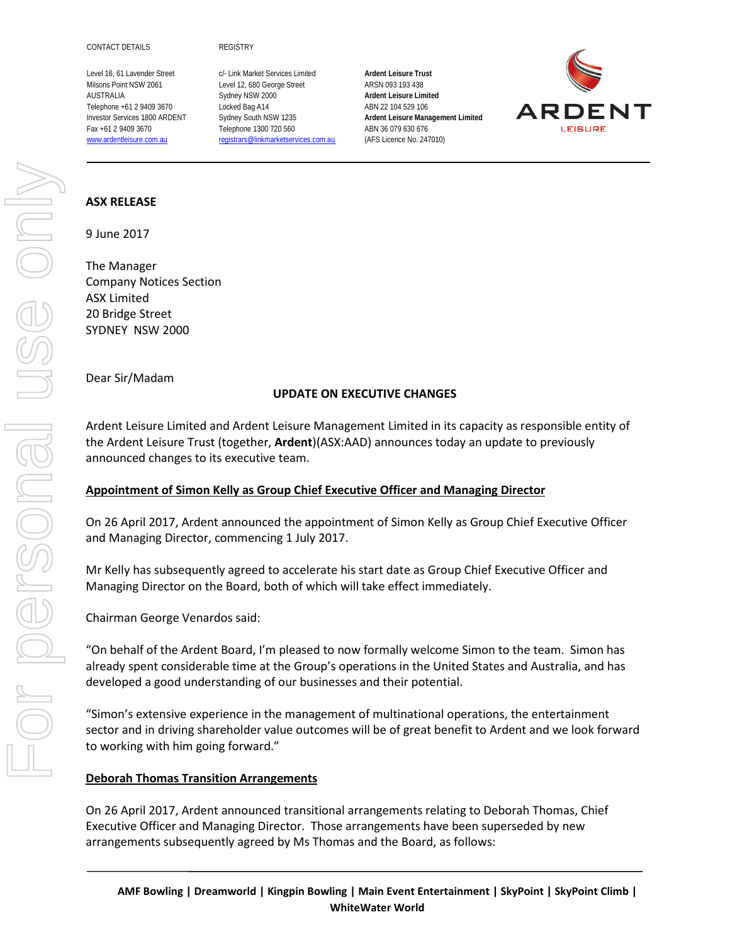Level 16, 61 Lavender Street c/- Link Market Services Limited **Ardent Leisure Trust** Milsons Point NSW 2061 Level 12, 680 George Street ARSN 093 193 438 AUSTRALIA Sydney NSW 2000 **Ardent Leisure Limited** Telephone +61 2 9409 3670 Locked Bag A14 ABN 22 104 529 106 Fax +61 2 9409 3670 Telephone 1300 720 560 ABN 36 079 630 676 [www.ardentleisure.com.au](http://www.ardentleisure.com.au/) [registrars@linkmarketservices.com.au](mailto:registrars@linkmarketservices.com.au) (AFS Licence No. 247010)

Investor Services 1800 ARDENT Sydney South NSW 1235 **Ardent Leisure Management Limited**



### **ASX RELEASE**

9 June 2017

The Manager Company Notices Section ASX Limited 20 Bridge Street SYDNEY NSW 2000

Dear Sir/Madam

## **UPDATE ON EXECUTIVE CHANGES**

Ardent Leisure Limited and Ardent Leisure Management Limited in its capacity as responsible entity of the Ardent Leisure Trust (together, **Ardent**)(ASX:AAD) announces today an update to previously announced changes to its executive team.

## **Appointment of Simon Kelly as Group Chief Executive Officer and Managing Director**

On 26 April 2017, Ardent announced the appointment of Simon Kelly as Group Chief Executive Officer and Managing Director, commencing 1 July 2017.

Mr Kelly has subsequently agreed to accelerate his start date as Group Chief Executive Officer and Managing Director on the Board, both of which will take effect immediately.

Chairman George Venardos said:

"On behalf of the Ardent Board, I'm pleased to now formally welcome Simon to the team. Simon has already spent considerable time at the Group's operations in the United States and Australia, and has developed a good understanding of our businesses and their potential.

"Simon's extensive experience in the management of multinational operations, the entertainment sector and in driving shareholder value outcomes will be of great benefit to Ardent and we look forward to working with him going forward."

## **Deborah Thomas Transition Arrangements**

On 26 April 2017, Ardent announced transitional arrangements relating to Deborah Thomas, Chief Executive Officer and Managing Director. Those arrangements have been superseded by new arrangements subsequently agreed by Ms Thomas and the Board, as follows: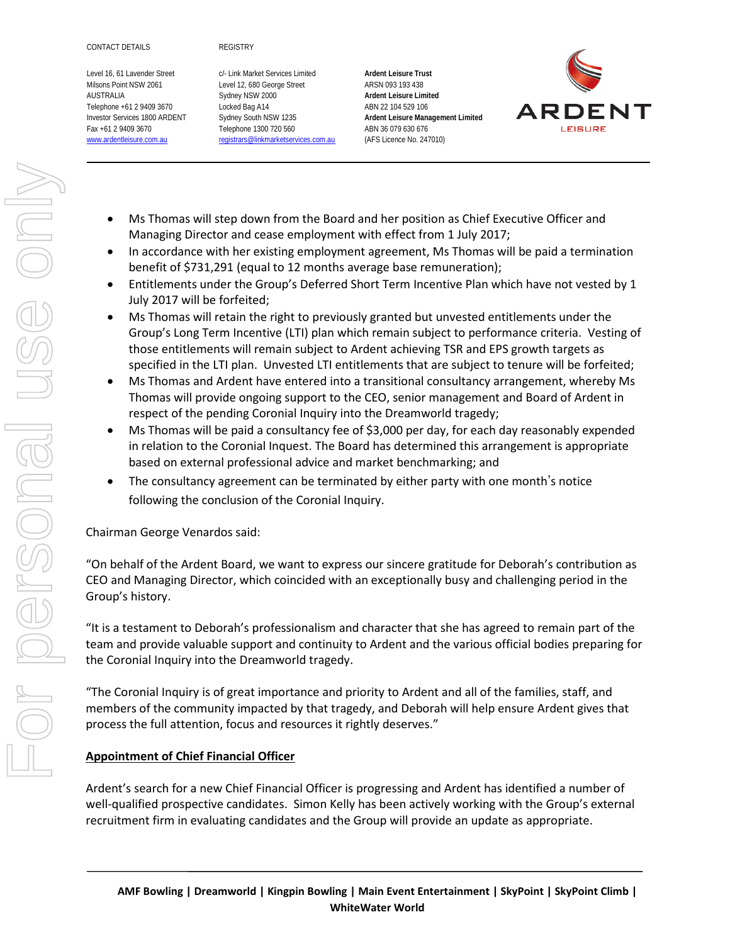Level 16, 61 Lavender Street c/- Link Market Services Limited **Ardent Leisure Trust** Milsons Point NSW 2061 Level 12, 680 George Street ARSN 093 193 438 AUSTRALIA Sydney NSW 2000 **Ardent Leisure Limited** Telephone +61 2 9409 3670 Locked Bag A14 ABN 22 104 529 106 Fax +61 2 9409 3670 Telephone 1300 720 560 ABN 36 079 630 676 [www.ardentleisure.com.au](http://www.ardentleisure.com.au/) [registrars@linkmarketservices.com.au](mailto:registrars@linkmarketservices.com.au) (AFS Licence No. 247010)

Investor Services 1800 ARDENT Sydney South NSW 1235 **Ardent Leisure Management Limited**



- Ms Thomas will step down from the Board and her position as Chief Executive Officer and Managing Director and cease employment with effect from 1 July 2017;
- In accordance with her existing employment agreement, Ms Thomas will be paid a termination benefit of \$731,291 (equal to 12 months average base remuneration);
- Entitlements under the Group's Deferred Short Term Incentive Plan which have not vested by 1 July 2017 will be forfeited;
- Ms Thomas will retain the right to previously granted but unvested entitlements under the Group's Long Term Incentive (LTI) plan which remain subject to performance criteria. Vesting of those entitlements will remain subject to Ardent achieving TSR and EPS growth targets as specified in the LTI plan. Unvested LTI entitlements that are subject to tenure will be forfeited;
- Ms Thomas and Ardent have entered into a transitional consultancy arrangement, whereby Ms Thomas will provide ongoing support to the CEO, senior management and Board of Ardent in respect of the pending Coronial Inquiry into the Dreamworld tragedy;
- Ms Thomas will be paid a consultancy fee of \$3,000 per day, for each day reasonably expended in relation to the Coronial Inquest. The Board has determined this arrangement is appropriate based on external professional advice and market benchmarking; and
- The consultancy agreement can be terminated by either party with one month's notice following the conclusion of the Coronial Inquiry.

Chairman George Venardos said:

"On behalf of the Ardent Board, we want to express our sincere gratitude for Deborah's contribution as CEO and Managing Director, which coincided with an exceptionally busy and challenging period in the Group's history.

"It is a testament to Deborah's professionalism and character that she has agreed to remain part of the team and provide valuable support and continuity to Ardent and the various official bodies preparing for the Coronial Inquiry into the Dreamworld tragedy.

"The Coronial Inquiry is of great importance and priority to Ardent and all of the families, staff, and members of the community impacted by that tragedy, and Deborah will help ensure Ardent gives that process the full attention, focus and resources it rightly deserves."

# **Appointment of Chief Financial Officer**

Ardent's search for a new Chief Financial Officer is progressing and Ardent has identified a number of well-qualified prospective candidates. Simon Kelly has been actively working with the Group's external recruitment firm in evaluating candidates and the Group will provide an update as appropriate.